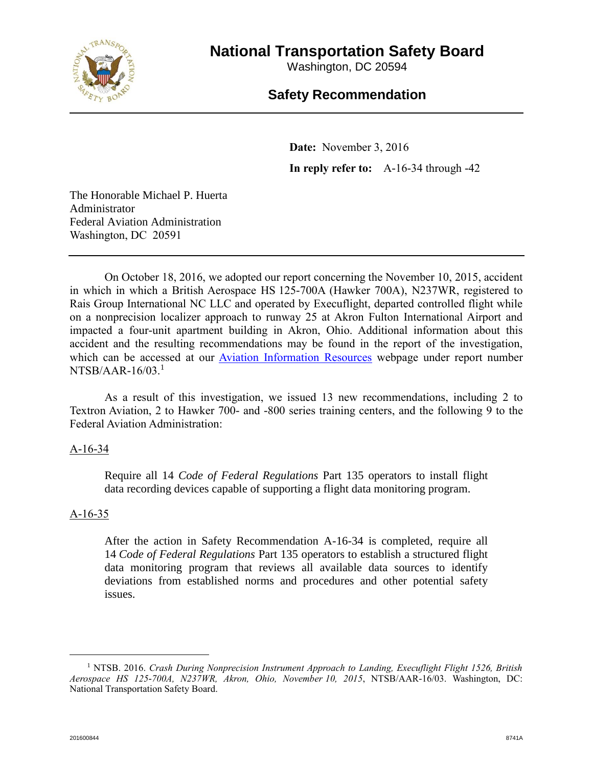

# **National Transportation Safety Board**

Washington, DC 20594

# **Safety Recommendation**

**Date:** November 3, 2016 **In reply refer to:** A-16-34 through -42

The Honorable Michael P. Huerta Administrator Federal Aviation Administration Washington, DC 20591

On October 18, 2016, we adopted our report concerning the November 10, 2015, accident in which in which a British Aerospace HS 125-700A (Hawker 700A), N237WR, registered to Rais Group International NC LLC and operated by Execuflight, departed controlled flight while on a nonprecision localizer approach to runway 25 at Akron Fulton International Airport and impacted a four-unit apartment building in Akron, Ohio. Additional information about this accident and the resulting recommendations may be found in the report of the investigation, which can be accessed at our [Aviation Information Resources](http://ntsb.gov/about/organization/AS/Pages/air.aspx) webpage under report number  $NTSB/AAR-16/03.<sup>1</sup>$ 

As a result of this investigation, we issued 13 new recommendations, including 2 to Textron Aviation, 2 to Hawker 700- and -800 series training centers, and the following 9 to the Federal Aviation Administration:

## A-16-34

Require all 14 *Code of Federal Regulations* Part 135 operators to install flight data recording devices capable of supporting a flight data monitoring program.

## A-16-35

After the action in Safety Recommendation A-16-34 is completed, require all 14 *Code of Federal Regulations* Part 135 operators to establish a structured flight data monitoring program that reviews all available data sources to identify deviations from established norms and procedures and other potential safety issues.

 $\overline{a}$ 

<sup>1</sup> NTSB. 2016. *Crash During Nonprecision Instrument Approach to Landing, Execuflight Flight 1526, British Aerospace HS 125-700A, N237WR, Akron, Ohio, November 10, 2015*, NTSB/AAR-16/03. Washington, DC: National Transportation Safety Board.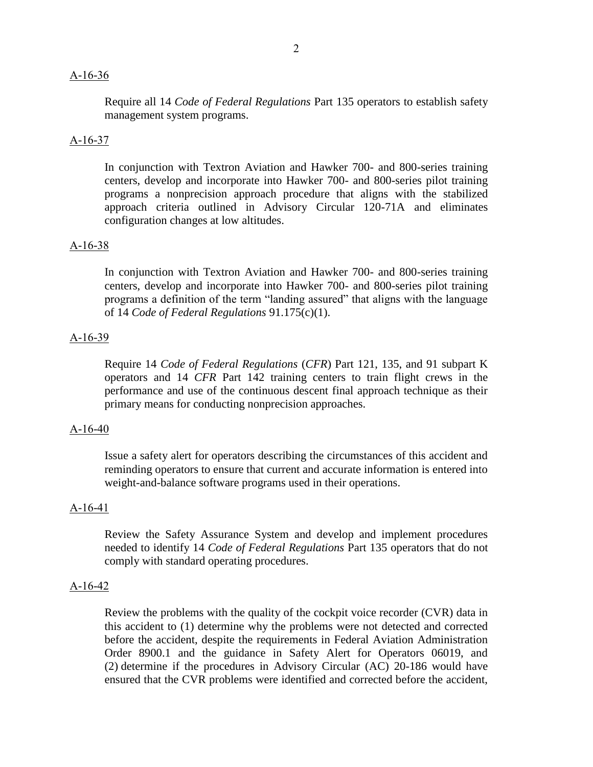#### A-16-36

Require all 14 *Code of Federal Regulations* Part 135 operators to establish safety management system programs.

#### A-16-37

In conjunction with Textron Aviation and Hawker 700- and 800-series training centers, develop and incorporate into Hawker 700- and 800-series pilot training programs a nonprecision approach procedure that aligns with the stabilized approach criteria outlined in Advisory Circular 120-71A and eliminates configuration changes at low altitudes.

#### A-16-38

In conjunction with Textron Aviation and Hawker 700- and 800-series training centers, develop and incorporate into Hawker 700- and 800-series pilot training programs a definition of the term "landing assured" that aligns with the language of 14 *Code of Federal Regulations* 91.175(c)(1).

#### A-16-39

Require 14 *Code of Federal Regulations* (*CFR*) Part 121, 135, and 91 subpart K operators and 14 *CFR* Part 142 training centers to train flight crews in the performance and use of the continuous descent final approach technique as their primary means for conducting nonprecision approaches.

#### A-16-40

Issue a safety alert for operators describing the circumstances of this accident and reminding operators to ensure that current and accurate information is entered into weight-and-balance software programs used in their operations.

#### A-16-41

Review the Safety Assurance System and develop and implement procedures needed to identify 14 *Code of Federal Regulations* Part 135 operators that do not comply with standard operating procedures.

#### A-16-42

Review the problems with the quality of the cockpit voice recorder (CVR) data in this accident to (1) determine why the problems were not detected and corrected before the accident, despite the requirements in Federal Aviation Administration Order 8900.1 and the guidance in Safety Alert for Operators 06019, and (2) determine if the procedures in Advisory Circular (AC) 20-186 would have ensured that the CVR problems were identified and corrected before the accident,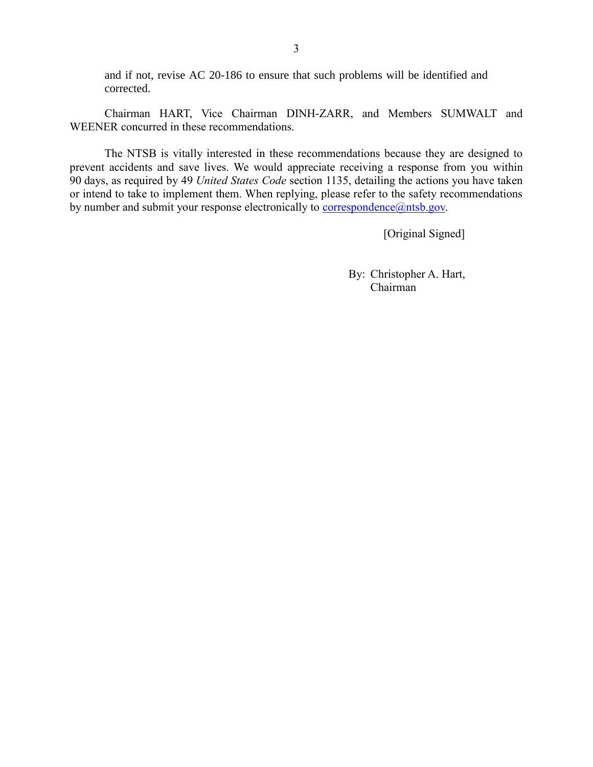and if not, revise AC 20-186 to ensure that such problems will be identified and corrected.

Chairman HART, Vice Chairman DINH-ZARR, and Members SUMWALT and WEENER concurred in these recommendations.

The NTSB is vitally interested in these recommendations because they are designed to prevent accidents and save lives. We would appreciate receiving a response from you within 90 days, as required by 49 *United States Code* section 1135, detailing the actions you have taken or intend to take to implement them. When replying, please refer to the safety recommendations by number and submit your response electronically to [correspondence@ntsb.gov.](mailto:correspondence@ntsb.gov)

[Original Signed]

By: Christopher A. Hart, Chairman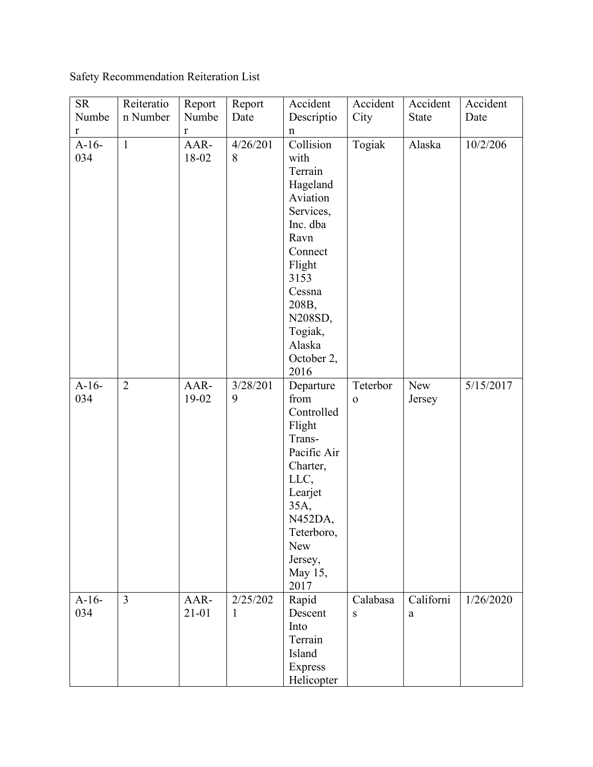Safety Recommendation Reiteration List

| <b>SR</b><br>Numbe | Reiteratio<br>n Number | Report<br>Numbe   | Report<br>Date | Accident<br>Descriptio                                                                                                                                                                      | Accident<br>City         | Accident<br><b>State</b> | Accident<br>Date |
|--------------------|------------------------|-------------------|----------------|---------------------------------------------------------------------------------------------------------------------------------------------------------------------------------------------|--------------------------|--------------------------|------------------|
| $\mathbf r$        |                        | r                 |                | n                                                                                                                                                                                           |                          |                          |                  |
| $A-16-$<br>034     | $\mathbf{1}$           | AAR-<br>18-02     | 4/26/201<br>8  | Collision<br>with<br>Terrain<br>Hageland<br>Aviation<br>Services,<br>Inc. dba<br>Ravn<br>Connect<br>Flight<br>3153<br>Cessna<br>208B,<br>N208SD,<br>Togiak,<br>Alaska<br>October 2,<br>2016 | Togiak                   | Alaska                   | 10/2/206         |
| $A-16-$<br>034     | $\overline{2}$         | AAR-<br>19-02     | 3/28/201<br>9  | Departure<br>from<br>Controlled<br>Flight<br>Trans-<br>Pacific Air<br>Charter,<br>LLC,<br>Learjet<br>35A,<br>N452DA,<br>Teterboro,<br><b>New</b><br>Jersey,<br>May 15,<br>2017              | Teterbor<br>$\mathbf{o}$ | New<br>Jersey            | 5/15/2017        |
| $A-16-$<br>034     | $\overline{3}$         | AAR-<br>$21 - 01$ | 2/25/202<br>1  | Rapid<br>Descent<br>Into<br>Terrain<br>Island<br><b>Express</b><br>Helicopter                                                                                                               | Calabasa<br>S            | Californi<br>a           | 1/26/2020        |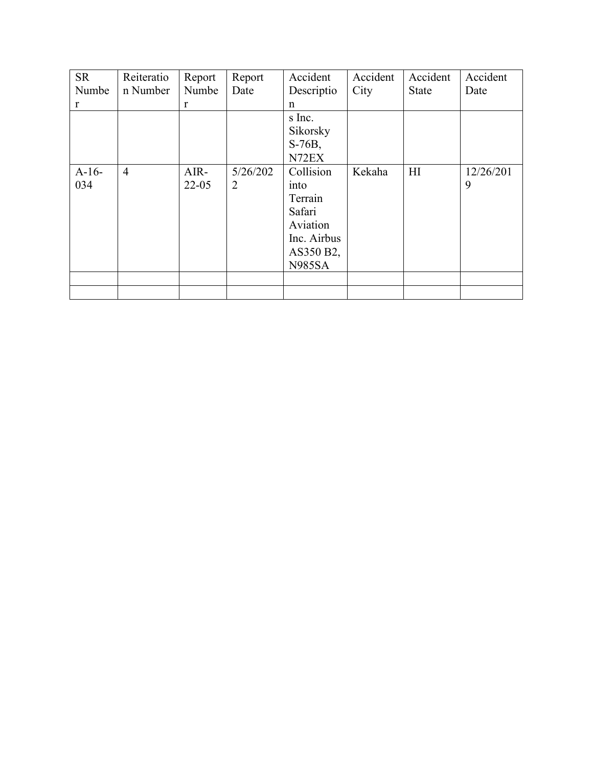| <b>SR</b> | Reiteratio     | Report    | Report   | Accident      | Accident | Accident     | Accident  |
|-----------|----------------|-----------|----------|---------------|----------|--------------|-----------|
| Numbe     | n Number       | Numbe     | Date     | Descriptio    | City     | <b>State</b> | Date      |
| r         |                | r         |          | n             |          |              |           |
|           |                |           |          | s Inc.        |          |              |           |
|           |                |           |          | Sikorsky      |          |              |           |
|           |                |           |          | $S-76B$ ,     |          |              |           |
|           |                |           |          | N72EX         |          |              |           |
| $A-16-$   | $\overline{4}$ | AIR-      | 5/26/202 | Collision     | Kekaha   | H1           | 12/26/201 |
| 034       |                | $22 - 05$ | 2        | into          |          |              | 9         |
|           |                |           |          | Terrain       |          |              |           |
|           |                |           |          | Safari        |          |              |           |
|           |                |           |          | Aviation      |          |              |           |
|           |                |           |          | Inc. Airbus   |          |              |           |
|           |                |           |          | AS350 B2,     |          |              |           |
|           |                |           |          | <b>N985SA</b> |          |              |           |
|           |                |           |          |               |          |              |           |
|           |                |           |          |               |          |              |           |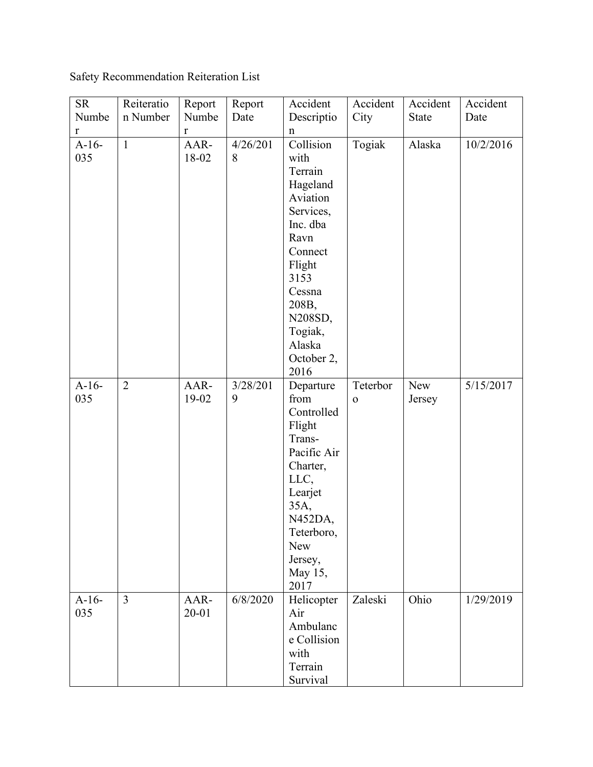Safety Recommendation Reiteration List

| <b>SR</b>      | Reiteratio     | Report        | Report        | Accident                                                                                                                                                                                    | Accident                 | Accident      | Accident  |
|----------------|----------------|---------------|---------------|---------------------------------------------------------------------------------------------------------------------------------------------------------------------------------------------|--------------------------|---------------|-----------|
| Numbe          | n Number       | Numbe         | Date          | Descriptio                                                                                                                                                                                  | City                     | <b>State</b>  | Date      |
| r              |                | r             |               | n                                                                                                                                                                                           |                          |               |           |
| $A-16-$<br>035 | $\mathbf{1}$   | AAR-<br>18-02 | 4/26/201<br>8 | Collision<br>with<br>Terrain<br>Hageland<br>Aviation<br>Services,<br>Inc. dba<br>Ravn<br>Connect<br>Flight<br>3153<br>Cessna<br>208B,<br>N208SD,<br>Togiak,<br>Alaska<br>October 2,<br>2016 | Togiak                   | Alaska        | 10/2/2016 |
| $A-16-$<br>035 | $\overline{2}$ | AAR-<br>19-02 | 3/28/201<br>9 | Departure<br>from<br>Controlled<br>Flight<br>Trans-<br>Pacific Air<br>Charter,<br>LLC,<br>Learjet<br>35A,<br>N452DA,<br>Teterboro,<br><b>New</b><br>Jersey,<br>May 15,<br>2017              | Teterbor<br>$\mathbf{o}$ | New<br>Jersey | 5/15/2017 |
| $A-16-$<br>035 | $\overline{3}$ | AAR-<br>20-01 | 6/8/2020      | Helicopter<br>Air<br>Ambulanc<br>e Collision<br>with<br>Terrain<br>Survival                                                                                                                 | Zaleski                  | Ohio          | 1/29/2019 |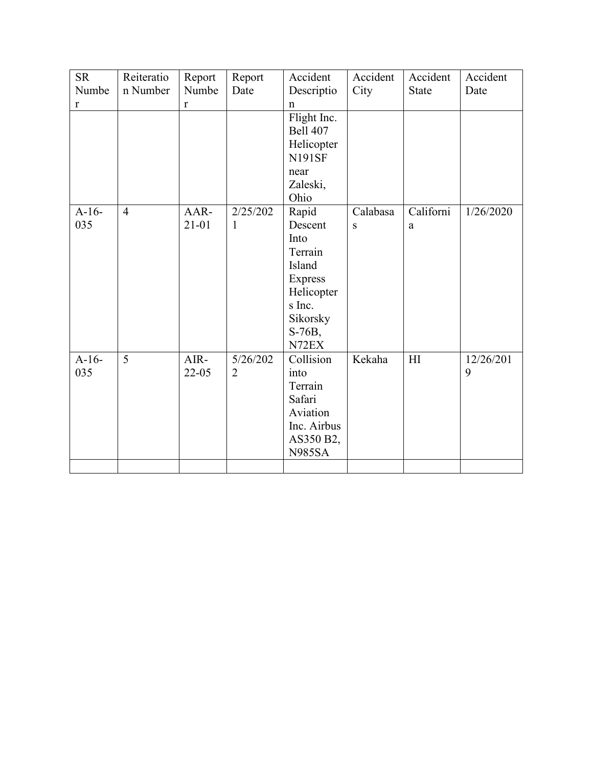| <b>SR</b><br>Numbe | Reiteratio<br>n Number | Report<br>Numbe   | Report<br>Date             | Accident<br>Descriptio                                                                                                            | Accident<br>City | Accident<br><b>State</b> | Accident<br>Date |
|--------------------|------------------------|-------------------|----------------------------|-----------------------------------------------------------------------------------------------------------------------------------|------------------|--------------------------|------------------|
| r                  |                        | r                 |                            | $\mathbf n$<br>Flight Inc.<br><b>Bell 407</b><br>Helicopter<br><b>N191SF</b><br>near<br>Zaleski,                                  |                  |                          |                  |
| $A-16-$<br>035     | $\overline{4}$         | AAR-<br>21-01     | 2/25/202<br>1              | Ohio<br>Rapid<br>Descent<br>Into<br>Terrain<br>Island<br><b>Express</b><br>Helicopter<br>s Inc.<br>Sikorsky<br>$S-76B$ ,<br>N72EX | Calabasa<br>S    | Californi<br>a           | 1/26/2020        |
| $A-16-$<br>035     | 5                      | AIR-<br>$22 - 05$ | 5/26/202<br>$\overline{2}$ | Collision<br>into<br>Terrain<br>Safari<br>Aviation<br>Inc. Airbus<br>AS350 B2,<br><b>N985SA</b>                                   | Kekaha           | HI                       | 12/26/201<br>9   |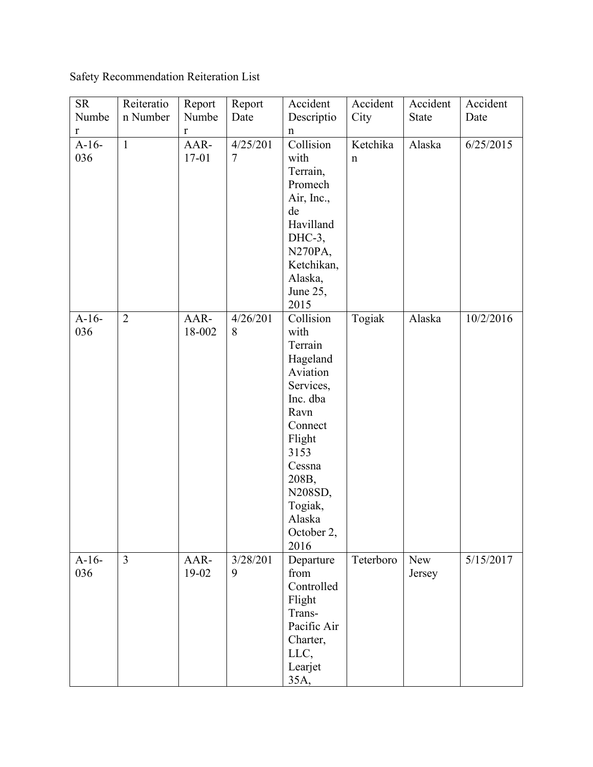Safety Recommendation Reiteration List

| <b>SR</b><br>Numbe | Reiteratio<br>n Number | Report<br>Numbe   | Report<br>Date | Accident<br>Descriptio                                                                                                                                                                      | Accident<br>City        | Accident<br><b>State</b> | Accident<br>Date |
|--------------------|------------------------|-------------------|----------------|---------------------------------------------------------------------------------------------------------------------------------------------------------------------------------------------|-------------------------|--------------------------|------------------|
| r                  |                        | r                 |                | $\mathbf n$                                                                                                                                                                                 |                         |                          |                  |
| $A-16-$<br>036     | $\mathbf{1}$           | AAR-<br>$17 - 01$ | 4/25/201<br>7  | Collision<br>with<br>Terrain,<br>Promech<br>Air, Inc.,<br>de<br>Havilland<br>$DHC-3$ ,<br>N270PA,<br>Ketchikan,<br>Alaska,<br>June 25,<br>2015                                              | Ketchika<br>$\mathbf n$ | Alaska                   | 6/25/2015        |
| $A-16-$<br>036     | $\overline{2}$         | AAR-<br>18-002    | 4/26/201<br>8  | Collision<br>with<br>Terrain<br>Hageland<br>Aviation<br>Services,<br>Inc. dba<br>Ravn<br>Connect<br>Flight<br>3153<br>Cessna<br>208B,<br>N208SD,<br>Togiak,<br>Alaska<br>October 2,<br>2016 | Togiak                  | Alaska                   | 10/2/2016        |
| $A-16-$<br>036     | $\overline{3}$         | AAR-<br>$19-02$   | 3/28/201<br>9  | Departure<br>from<br>Controlled<br>Flight<br>Trans-<br>Pacific Air<br>Charter,<br>LLC,<br>Learjet<br>35A,                                                                                   | Teterboro               | New<br>Jersey            | 5/15/2017        |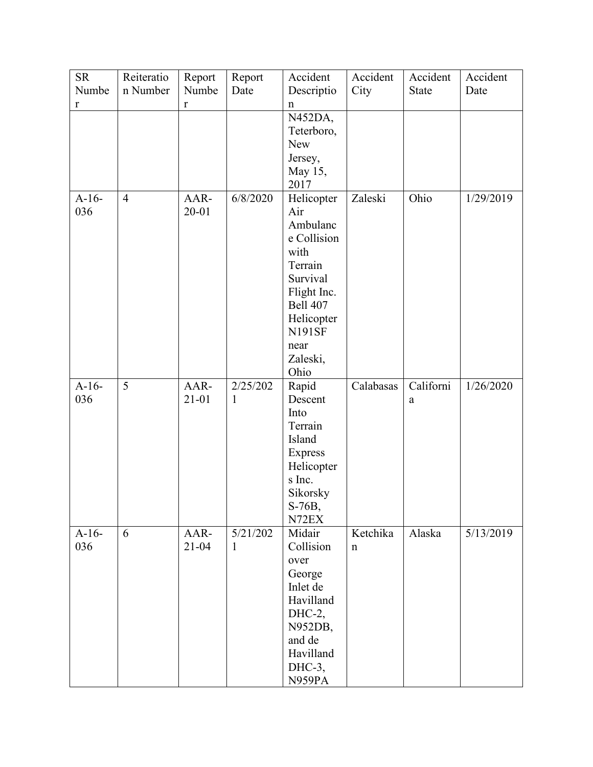| <b>SR</b><br>Numbe | Reiteratio<br>n Number | Report<br>Numbe | Report<br>Date | Accident<br>Descriptio  | Accident<br>City | Accident<br><b>State</b> | Accident<br>Date |
|--------------------|------------------------|-----------------|----------------|-------------------------|------------------|--------------------------|------------------|
| $\mathbf r$        |                        | $\mathbf r$     |                | n                       |                  |                          |                  |
|                    |                        |                 |                | N452DA,                 |                  |                          |                  |
|                    |                        |                 |                | Teterboro,              |                  |                          |                  |
|                    |                        |                 |                | New                     |                  |                          |                  |
|                    |                        |                 |                | Jersey,<br>May 15,      |                  |                          |                  |
|                    |                        |                 |                | 2017                    |                  |                          |                  |
| $A-16-$            | $\overline{4}$         | AAR-            | 6/8/2020       | Helicopter              | Zaleski          | Ohio                     | 1/29/2019        |
| 036                |                        | 20-01           |                | Air                     |                  |                          |                  |
|                    |                        |                 |                | Ambulanc                |                  |                          |                  |
|                    |                        |                 |                | e Collision             |                  |                          |                  |
|                    |                        |                 |                | with                    |                  |                          |                  |
|                    |                        |                 |                | Terrain                 |                  |                          |                  |
|                    |                        |                 |                | Survival<br>Flight Inc. |                  |                          |                  |
|                    |                        |                 |                | <b>Bell 407</b>         |                  |                          |                  |
|                    |                        |                 |                | Helicopter              |                  |                          |                  |
|                    |                        |                 |                | <b>N191SF</b>           |                  |                          |                  |
|                    |                        |                 |                | near                    |                  |                          |                  |
|                    |                        |                 |                | Zaleski,                |                  |                          |                  |
|                    |                        |                 |                | Ohio                    |                  |                          |                  |
| $A-16-$            | 5                      | AAR-            | 2/25/202       | Rapid                   | Calabasas        | Californi                | 1/26/2020        |
| 036                |                        | $21 - 01$       | $\mathbf{1}$   | Descent<br>Into         |                  | a                        |                  |
|                    |                        |                 |                | Terrain                 |                  |                          |                  |
|                    |                        |                 |                | Island                  |                  |                          |                  |
|                    |                        |                 |                | <b>Express</b>          |                  |                          |                  |
|                    |                        |                 |                | Helicopter              |                  |                          |                  |
|                    |                        |                 |                | s Inc.                  |                  |                          |                  |
|                    |                        |                 |                | Sikorsky                |                  |                          |                  |
|                    |                        |                 |                | S-76B,                  |                  |                          |                  |
| $A-16-$            | 6                      | AAR-            | 5/21/202       | N72EX<br>Midair         | Ketchika         | Alaska                   | 5/13/2019        |
| 036                |                        | $21 - 04$       | 1              | Collision               | $\mathbf n$      |                          |                  |
|                    |                        |                 |                | over                    |                  |                          |                  |
|                    |                        |                 |                | George                  |                  |                          |                  |
|                    |                        |                 |                | Inlet de                |                  |                          |                  |
|                    |                        |                 |                | Havilland               |                  |                          |                  |
|                    |                        |                 |                | $DHC-2$ ,               |                  |                          |                  |
|                    |                        |                 |                | N952DB,                 |                  |                          |                  |
|                    |                        |                 |                | and de                  |                  |                          |                  |
|                    |                        |                 |                | Havilland<br>$DHC-3$ ,  |                  |                          |                  |
|                    |                        |                 |                | N959PA                  |                  |                          |                  |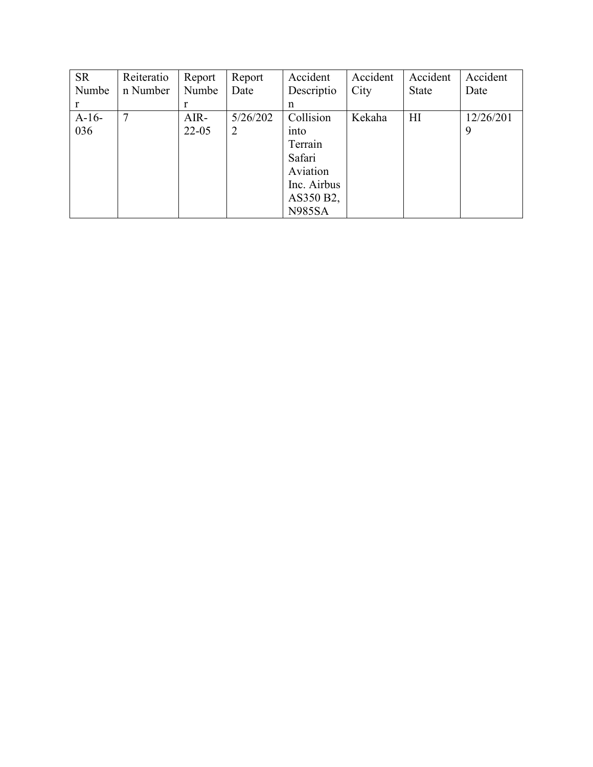| <b>SR</b> | Reiteratio | Report    | Report   | Accident      | Accident | Accident     | Accident  |
|-----------|------------|-----------|----------|---------------|----------|--------------|-----------|
| Numbe     | n Number   | Numbe     | Date     | Descriptio    | City     | <b>State</b> | Date      |
| r         |            |           |          | n             |          |              |           |
| $A-16-$   | 7          | AIR-      | 5/26/202 | Collision     | Kekaha   | HI           | 12/26/201 |
| 036       |            | $22 - 05$ | 2        | into          |          |              | 9         |
|           |            |           |          | Terrain       |          |              |           |
|           |            |           |          | Safari        |          |              |           |
|           |            |           |          | Aviation      |          |              |           |
|           |            |           |          | Inc. Airbus   |          |              |           |
|           |            |           |          | AS350 B2,     |          |              |           |
|           |            |           |          | <b>N985SA</b> |          |              |           |